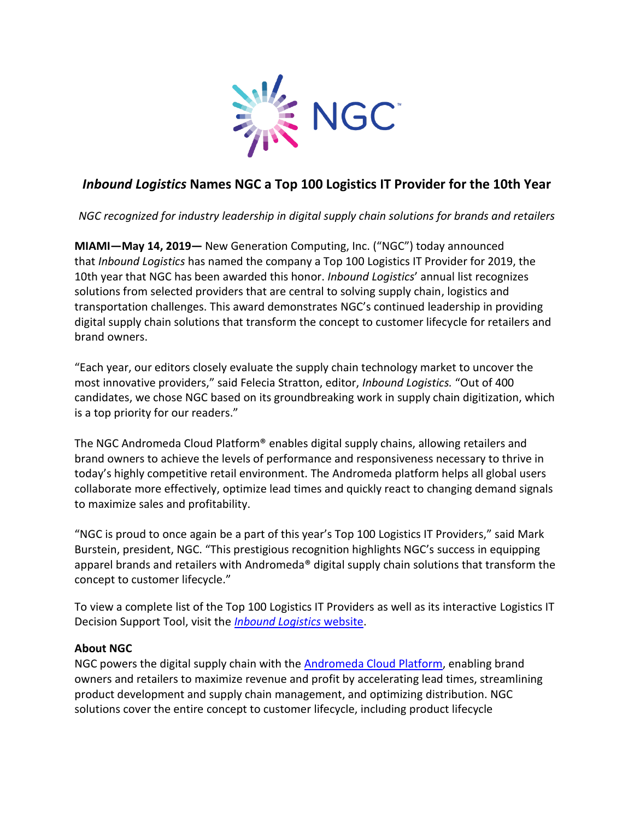

## *Inbound Logistics* **Names NGC a Top 100 Logistics IT Provider for the 10th Year**

*NGC recognized for industry leadership in digital supply chain solutions for brands and retailers*

**MIAMI—May 14, 2019—** New Generation Computing, Inc. ("NGC") today announced that *Inbound Logistics* has named the company a Top 100 Logistics IT Provider for 2019, the 10th year that NGC has been awarded this honor. *Inbound Logistics*' annual list recognizes solutions from selected providers that are central to solving supply chain, logistics and transportation challenges. This award demonstrates NGC's continued leadership in providing digital supply chain solutions that transform the concept to customer lifecycle for retailers and brand owners.

"Each year, our editors closely evaluate the supply chain technology market to uncover the most innovative providers," said Felecia Stratton, editor, *Inbound Logistics.* "Out of 400 candidates, we chose NGC based on its groundbreaking work in supply chain digitization, which is a top priority for our readers."

The NGC Andromeda Cloud Platform® enables digital supply chains, allowing retailers and brand owners to achieve the levels of performance and responsiveness necessary to thrive in today's highly competitive retail environment. The Andromeda platform helps all global users collaborate more effectively, optimize lead times and quickly react to changing demand signals to maximize sales and profitability.

"NGC is proud to once again be a part of this year's Top 100 Logistics IT Providers," said Mark Burstein, president, NGC. "This prestigious recognition highlights NGC's success in equipping apparel brands and retailers with Andromeda® digital supply chain solutions that transform the concept to customer lifecycle."

To view a complete list of the Top 100 Logistics IT Providers as well as its interactive Logistics IT Decision Support Tool, visit the *[Inbound Logistics](https://www.inboundlogistics.com/cms/article/2019-top-100-logistics-it-providers/)* website.

## **About NGC**

NGC powers the digital supply chain with the [Andromeda Cloud Platform,](https://www.ngcsoftware.com/landing/ngcandromedacloudplatform/) enabling brand owners and retailers to maximize revenue and profit by accelerating lead times, streamlining product development and supply chain management, and optimizing distribution. NGC solutions cover the entire concept to customer lifecycle, including product lifecycle